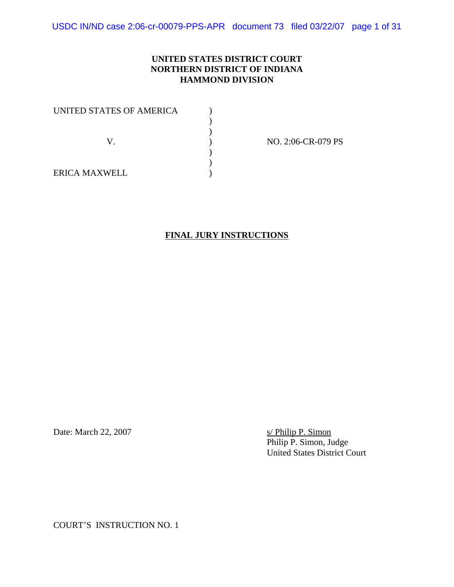USDC IN/ND case 2:06-cr-00079-PPS-APR document 73 filed 03/22/07 page 1 of 31

### **UNITED STATES DISTRICT COURT NORTHERN DISTRICT OF INDIANA HAMMOND DIVISION**

| UNITED STATES OF AMERICA |  |
|--------------------------|--|
|                          |  |
|                          |  |
|                          |  |
|                          |  |
|                          |  |
| <b>ERICA MAXWELL</b>     |  |

NO. 2:06-CR-079 PS

**FINAL JURY INSTRUCTIONS**

Date: March 22, 2007 s/ Philip P. Simon

Philip P. Simon, Judge United States District Court

COURT'S INSTRUCTION NO. 1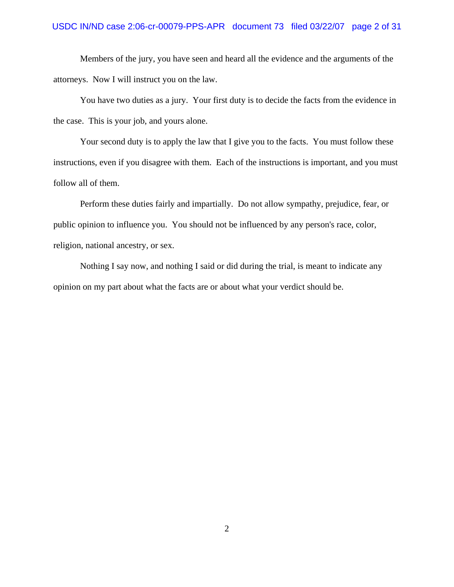#### USDC IN/ND case 2:06-cr-00079-PPS-APR document 73 filed 03/22/07 page 2 of 31

Members of the jury, you have seen and heard all the evidence and the arguments of the attorneys. Now I will instruct you on the law.

You have two duties as a jury. Your first duty is to decide the facts from the evidence in the case. This is your job, and yours alone.

Your second duty is to apply the law that I give you to the facts. You must follow these instructions, even if you disagree with them. Each of the instructions is important, and you must follow all of them.

Perform these duties fairly and impartially. Do not allow sympathy, prejudice, fear, or public opinion to influence you. You should not be influenced by any person's race, color, religion, national ancestry, or sex.

Nothing I say now, and nothing I said or did during the trial, is meant to indicate any opinion on my part about what the facts are or about what your verdict should be.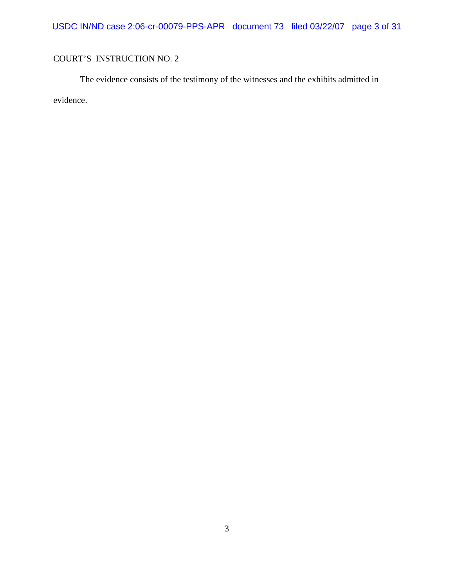USDC IN/ND case 2:06-cr-00079-PPS-APR document 73 filed 03/22/07 page 3 of 31

# COURT'S INSTRUCTION NO. 2

The evidence consists of the testimony of the witnesses and the exhibits admitted in evidence.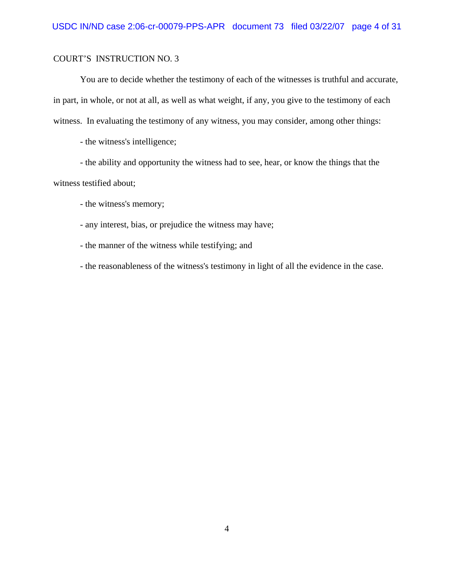You are to decide whether the testimony of each of the witnesses is truthful and accurate, in part, in whole, or not at all, as well as what weight, if any, you give to the testimony of each witness. In evaluating the testimony of any witness, you may consider, among other things:

- the witness's intelligence;

- the ability and opportunity the witness had to see, hear, or know the things that the witness testified about;

- the witness's memory;

- any interest, bias, or prejudice the witness may have;

- the manner of the witness while testifying; and

- the reasonableness of the witness's testimony in light of all the evidence in the case.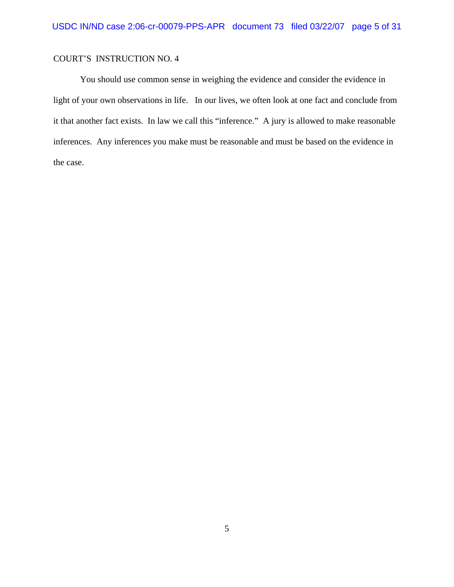You should use common sense in weighing the evidence and consider the evidence in light of your own observations in life. In our lives, we often look at one fact and conclude from it that another fact exists. In law we call this "inference." A jury is allowed to make reasonable inferences. Any inferences you make must be reasonable and must be based on the evidence in the case.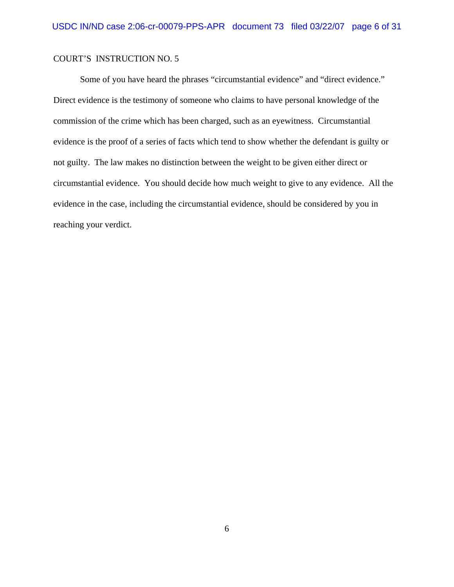Some of you have heard the phrases "circumstantial evidence" and "direct evidence." Direct evidence is the testimony of someone who claims to have personal knowledge of the commission of the crime which has been charged, such as an eyewitness. Circumstantial evidence is the proof of a series of facts which tend to show whether the defendant is guilty or not guilty. The law makes no distinction between the weight to be given either direct or circumstantial evidence. You should decide how much weight to give to any evidence. All the evidence in the case, including the circumstantial evidence, should be considered by you in reaching your verdict.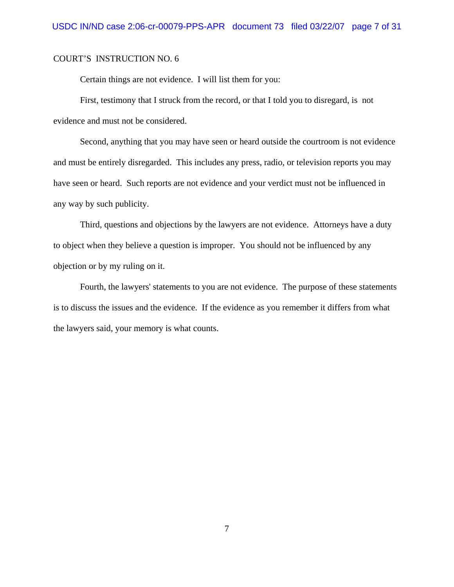Certain things are not evidence. I will list them for you:

First, testimony that I struck from the record, or that I told you to disregard, is not evidence and must not be considered.

Second, anything that you may have seen or heard outside the courtroom is not evidence and must be entirely disregarded. This includes any press, radio, or television reports you may have seen or heard. Such reports are not evidence and your verdict must not be influenced in any way by such publicity.

Third, questions and objections by the lawyers are not evidence. Attorneys have a duty to object when they believe a question is improper. You should not be influenced by any objection or by my ruling on it.

Fourth, the lawyers' statements to you are not evidence. The purpose of these statements is to discuss the issues and the evidence. If the evidence as you remember it differs from what the lawyers said, your memory is what counts.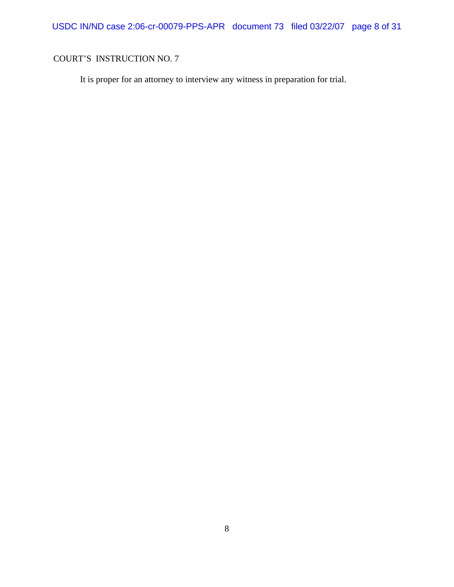It is proper for an attorney to interview any witness in preparation for trial.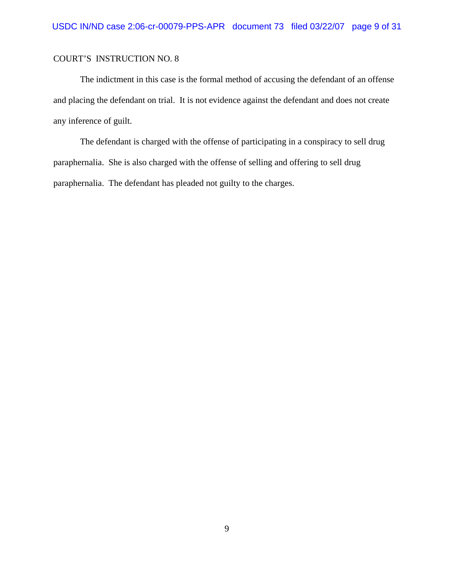The indictment in this case is the formal method of accusing the defendant of an offense and placing the defendant on trial. It is not evidence against the defendant and does not create any inference of guilt.

The defendant is charged with the offense of participating in a conspiracy to sell drug paraphernalia. She is also charged with the offense of selling and offering to sell drug paraphernalia. The defendant has pleaded not guilty to the charges.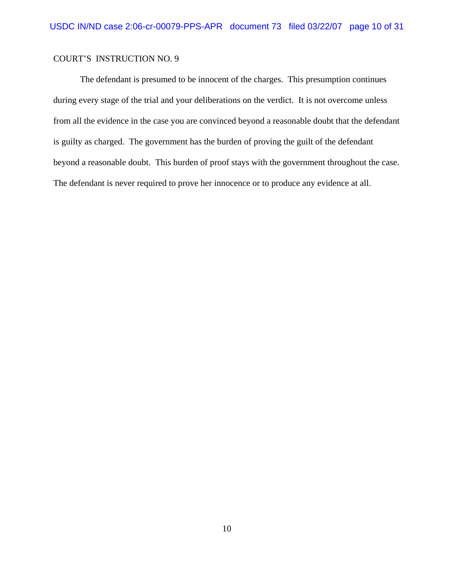The defendant is presumed to be innocent of the charges. This presumption continues during every stage of the trial and your deliberations on the verdict. It is not overcome unless from all the evidence in the case you are convinced beyond a reasonable doubt that the defendant is guilty as charged. The government has the burden of proving the guilt of the defendant beyond a reasonable doubt. This burden of proof stays with the government throughout the case. The defendant is never required to prove her innocence or to produce any evidence at all.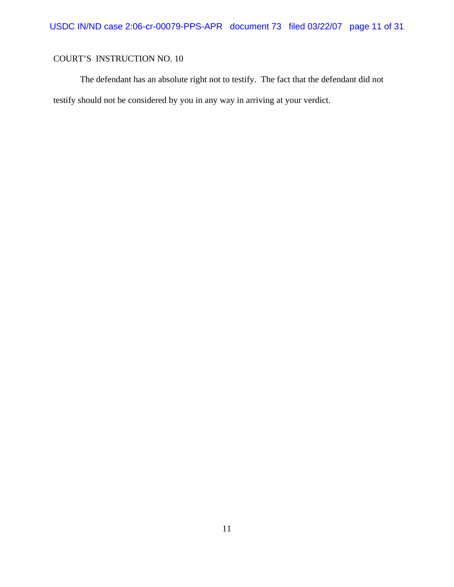The defendant has an absolute right not to testify. The fact that the defendant did not testify should not be considered by you in any way in arriving at your verdict.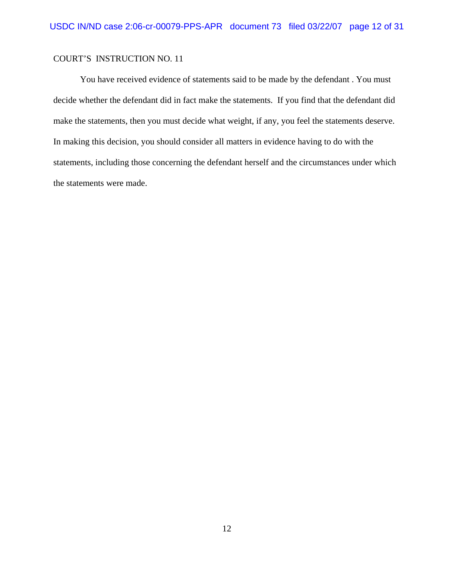You have received evidence of statements said to be made by the defendant . You must decide whether the defendant did in fact make the statements. If you find that the defendant did make the statements, then you must decide what weight, if any, you feel the statements deserve. In making this decision, you should consider all matters in evidence having to do with the statements, including those concerning the defendant herself and the circumstances under which the statements were made.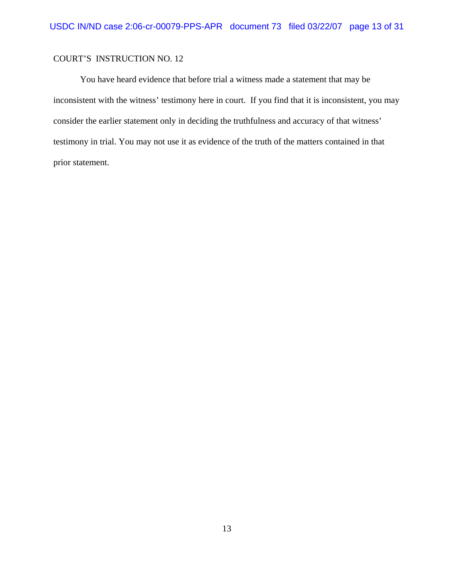You have heard evidence that before trial a witness made a statement that may be inconsistent with the witness' testimony here in court. If you find that it is inconsistent, you may consider the earlier statement only in deciding the truthfulness and accuracy of that witness' testimony in trial. You may not use it as evidence of the truth of the matters contained in that prior statement.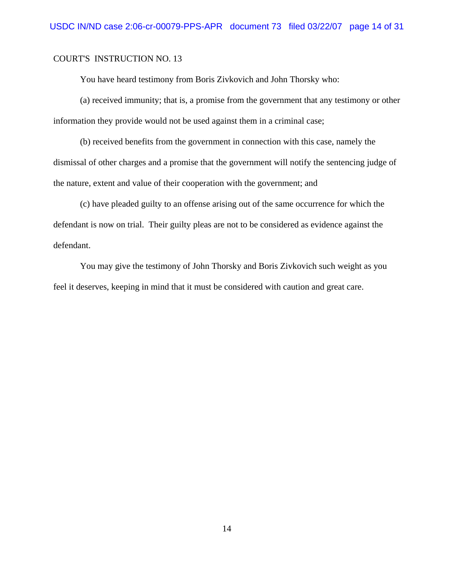You have heard testimony from Boris Zivkovich and John Thorsky who:

(a) received immunity; that is, a promise from the government that any testimony or other information they provide would not be used against them in a criminal case;

(b) received benefits from the government in connection with this case, namely the dismissal of other charges and a promise that the government will notify the sentencing judge of the nature, extent and value of their cooperation with the government; and

(c) have pleaded guilty to an offense arising out of the same occurrence for which the defendant is now on trial. Their guilty pleas are not to be considered as evidence against the defendant.

You may give the testimony of John Thorsky and Boris Zivkovich such weight as you feel it deserves, keeping in mind that it must be considered with caution and great care.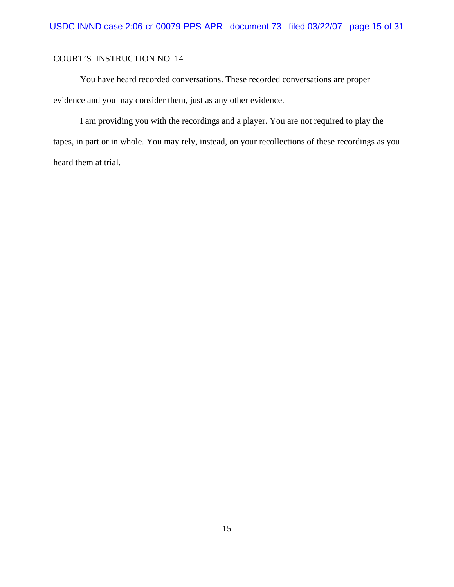You have heard recorded conversations. These recorded conversations are proper evidence and you may consider them, just as any other evidence.

I am providing you with the recordings and a player. You are not required to play the tapes, in part or in whole. You may rely, instead, on your recollections of these recordings as you heard them at trial.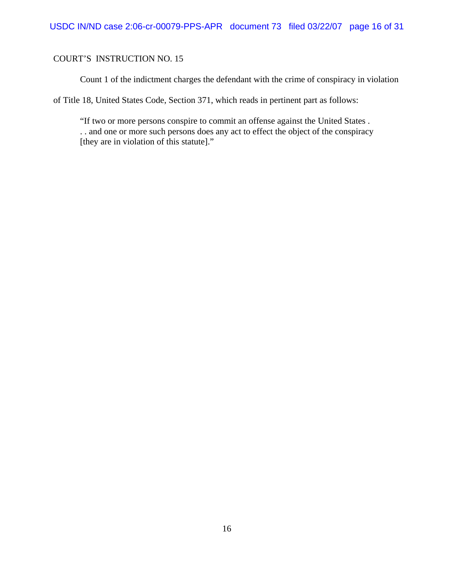Count 1 of the indictment charges the defendant with the crime of conspiracy in violation

of Title 18, United States Code, Section 371, which reads in pertinent part as follows:

"If two or more persons conspire to commit an offense against the United States . . . and one or more such persons does any act to effect the object of the conspiracy [they are in violation of this statute]."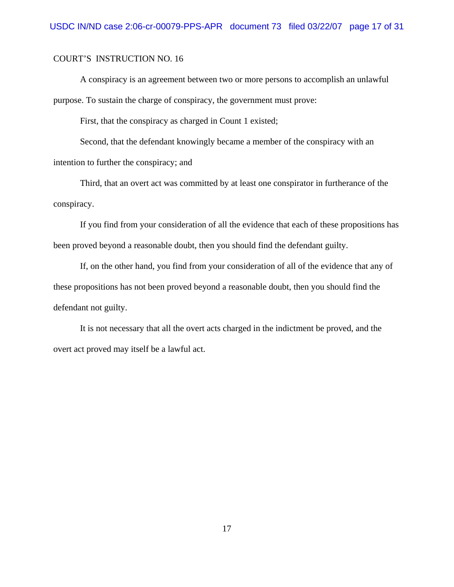A conspiracy is an agreement between two or more persons to accomplish an unlawful purpose. To sustain the charge of conspiracy, the government must prove:

First, that the conspiracy as charged in Count 1 existed;

Second, that the defendant knowingly became a member of the conspiracy with an intention to further the conspiracy; and

Third, that an overt act was committed by at least one conspirator in furtherance of the conspiracy.

If you find from your consideration of all the evidence that each of these propositions has been proved beyond a reasonable doubt, then you should find the defendant guilty.

If, on the other hand, you find from your consideration of all of the evidence that any of these propositions has not been proved beyond a reasonable doubt, then you should find the defendant not guilty.

It is not necessary that all the overt acts charged in the indictment be proved, and the overt act proved may itself be a lawful act.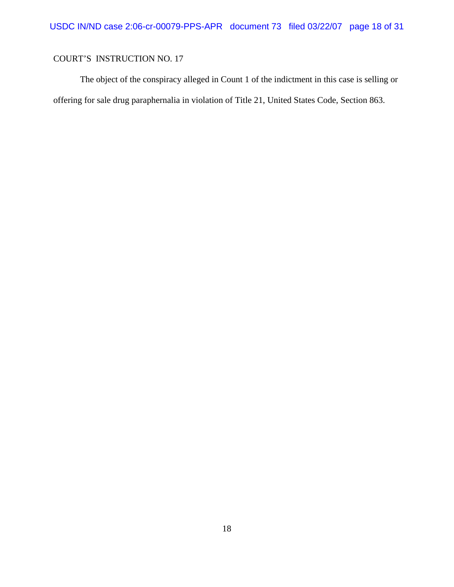The object of the conspiracy alleged in Count 1 of the indictment in this case is selling or offering for sale drug paraphernalia in violation of Title 21, United States Code, Section 863.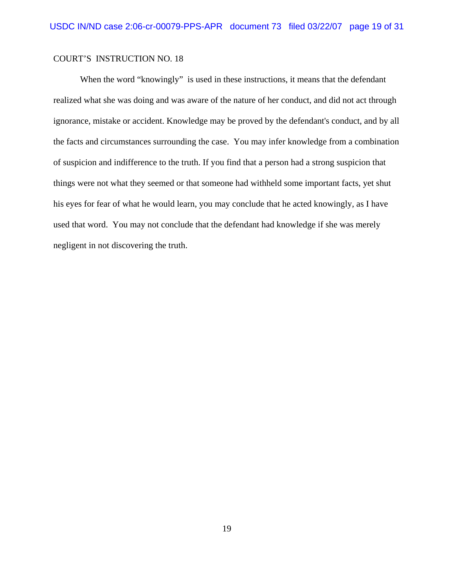When the word "knowingly" is used in these instructions, it means that the defendant realized what she was doing and was aware of the nature of her conduct, and did not act through ignorance, mistake or accident. Knowledge may be proved by the defendant's conduct, and by all the facts and circumstances surrounding the case. You may infer knowledge from a combination of suspicion and indifference to the truth. If you find that a person had a strong suspicion that things were not what they seemed or that someone had withheld some important facts, yet shut his eyes for fear of what he would learn, you may conclude that he acted knowingly, as I have used that word. You may not conclude that the defendant had knowledge if she was merely negligent in not discovering the truth.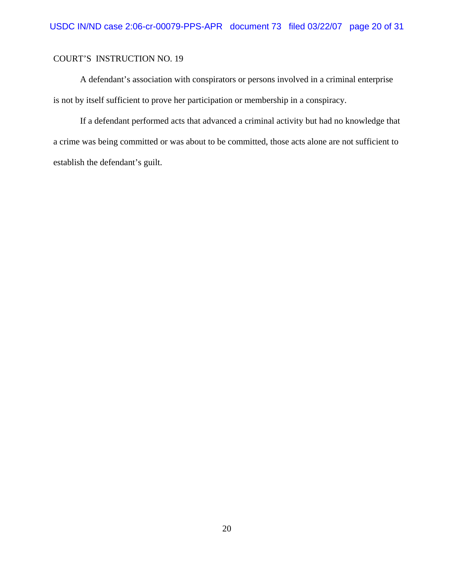A defendant's association with conspirators or persons involved in a criminal enterprise is not by itself sufficient to prove her participation or membership in a conspiracy.

If a defendant performed acts that advanced a criminal activity but had no knowledge that a crime was being committed or was about to be committed, those acts alone are not sufficient to establish the defendant's guilt.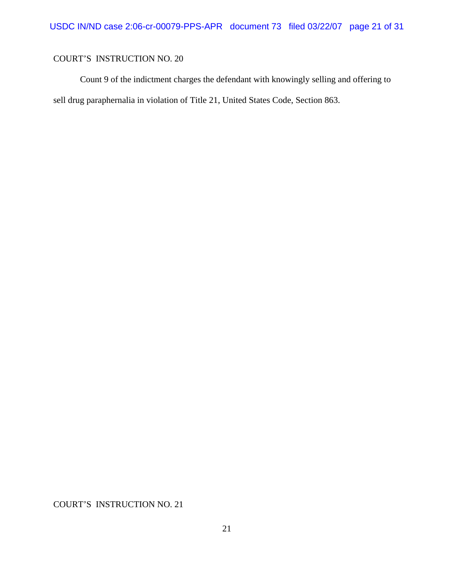Count 9 of the indictment charges the defendant with knowingly selling and offering to sell drug paraphernalia in violation of Title 21, United States Code, Section 863.

COURT'S INSTRUCTION NO. 21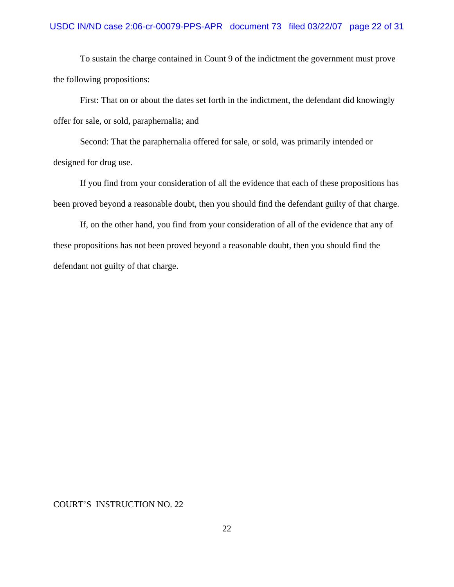To sustain the charge contained in Count 9 of the indictment the government must prove the following propositions:

First: That on or about the dates set forth in the indictment, the defendant did knowingly offer for sale, or sold, paraphernalia; and

Second: That the paraphernalia offered for sale, or sold, was primarily intended or designed for drug use.

If you find from your consideration of all the evidence that each of these propositions has been proved beyond a reasonable doubt, then you should find the defendant guilty of that charge.

If, on the other hand, you find from your consideration of all of the evidence that any of these propositions has not been proved beyond a reasonable doubt, then you should find the defendant not guilty of that charge.

#### COURT'S INSTRUCTION NO. 22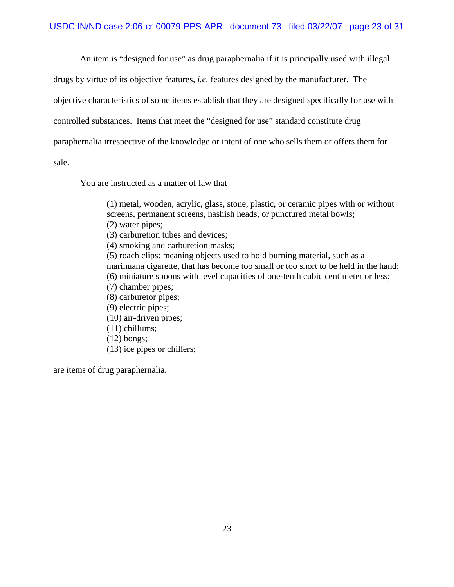An item is "designed for use" as drug paraphernalia if it is principally used with illegal

drugs by virtue of its objective features, *i.e.* features designed by the manufacturer. The

objective characteristics of some items establish that they are designed specifically for use with

controlled substances. Items that meet the "designed for use" standard constitute drug

paraphernalia irrespective of the knowledge or intent of one who sells them or offers them for

sale.

You are instructed as a matter of law that

(1) metal, wooden, acrylic, glass, stone, plastic, or ceramic pipes with or without screens, permanent screens, hashish heads, or punctured metal bowls; (2) water pipes; (3) carburetion tubes and devices; (4) smoking and carburetion masks; (5) roach clips: meaning objects used to hold burning material, such as a marihuana cigarette, that has become too small or too short to be held in the hand; (6) miniature spoons with level capacities of one-tenth cubic centimeter or less; (7) chamber pipes; (8) carburetor pipes; (9) electric pipes; (10) air-driven pipes; (11) chillums; (12) bongs; (13) ice pipes or chillers;

are items of drug paraphernalia.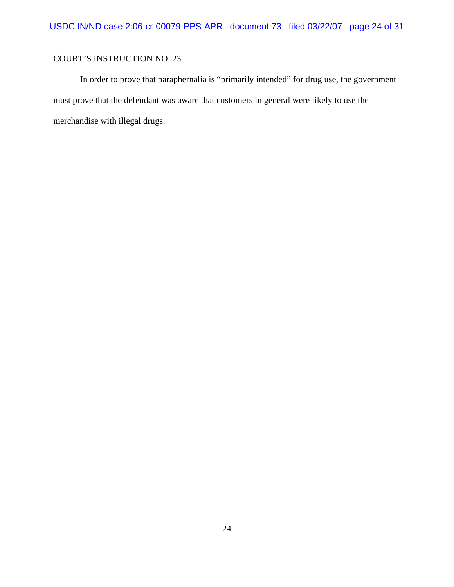In order to prove that paraphernalia is "primarily intended" for drug use, the government must prove that the defendant was aware that customers in general were likely to use the merchandise with illegal drugs.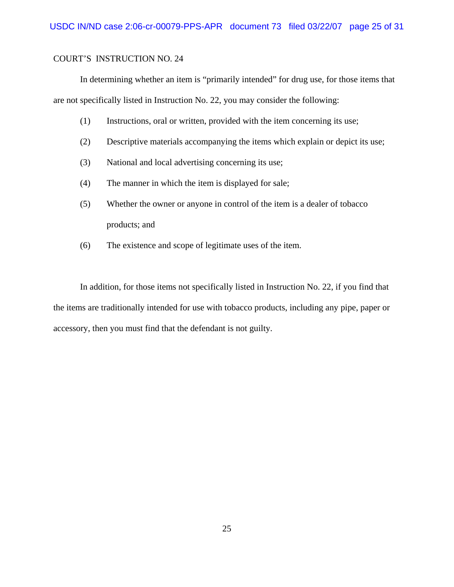In determining whether an item is "primarily intended" for drug use, for those items that are not specifically listed in Instruction No. 22, you may consider the following:

- (1) Instructions, oral or written, provided with the item concerning its use;
- (2) Descriptive materials accompanying the items which explain or depict its use;
- (3) National and local advertising concerning its use;
- (4) The manner in which the item is displayed for sale;
- (5) Whether the owner or anyone in control of the item is a dealer of tobacco products; and
- (6) The existence and scope of legitimate uses of the item.

In addition, for those items not specifically listed in Instruction No. 22, if you find that the items are traditionally intended for use with tobacco products, including any pipe, paper or accessory, then you must find that the defendant is not guilty.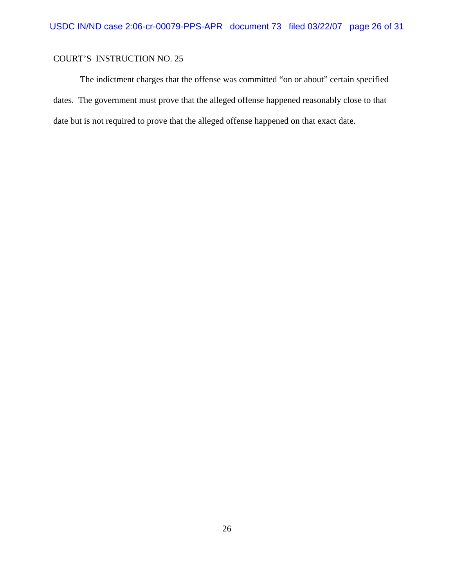The indictment charges that the offense was committed "on or about" certain specified dates. The government must prove that the alleged offense happened reasonably close to that date but is not required to prove that the alleged offense happened on that exact date.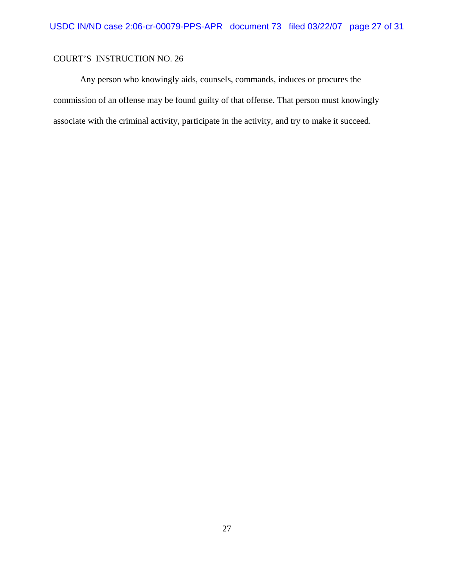Any person who knowingly aids, counsels, commands, induces or procures the commission of an offense may be found guilty of that offense. That person must knowingly associate with the criminal activity, participate in the activity, and try to make it succeed.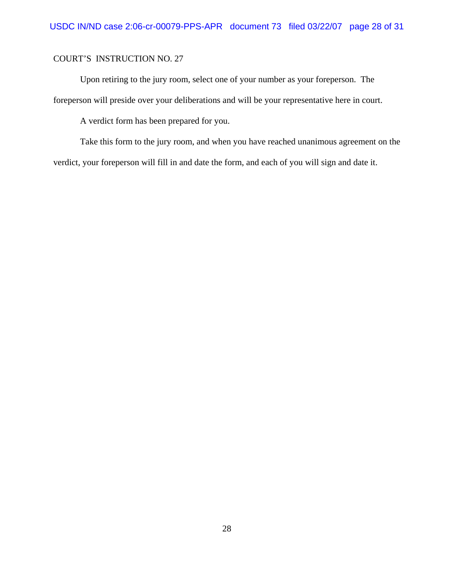Upon retiring to the jury room, select one of your number as your foreperson. The foreperson will preside over your deliberations and will be your representative here in court.

A verdict form has been prepared for you.

Take this form to the jury room, and when you have reached unanimous agreement on the verdict, your foreperson will fill in and date the form, and each of you will sign and date it.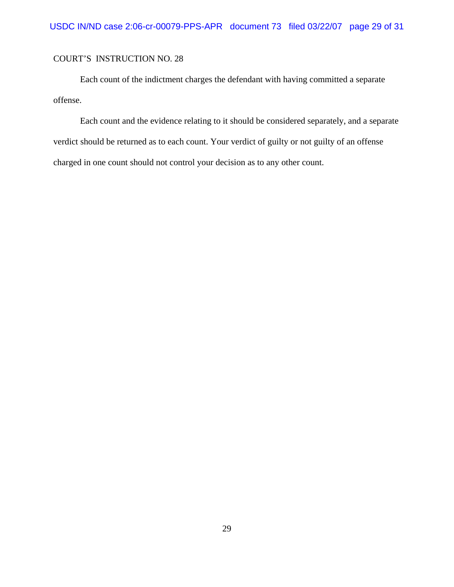Each count of the indictment charges the defendant with having committed a separate offense.

Each count and the evidence relating to it should be considered separately, and a separate verdict should be returned as to each count. Your verdict of guilty or not guilty of an offense charged in one count should not control your decision as to any other count.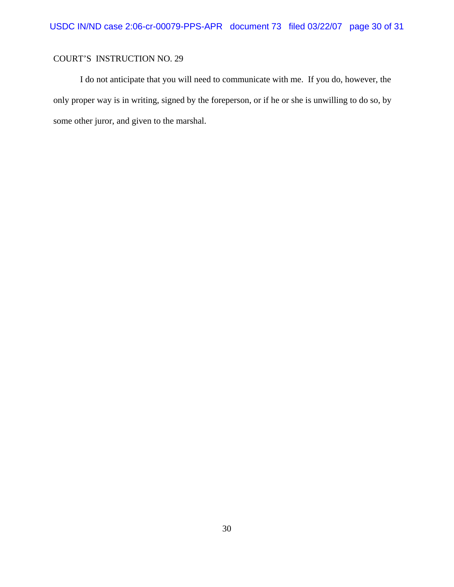I do not anticipate that you will need to communicate with me. If you do, however, the only proper way is in writing, signed by the foreperson, or if he or she is unwilling to do so, by some other juror, and given to the marshal.